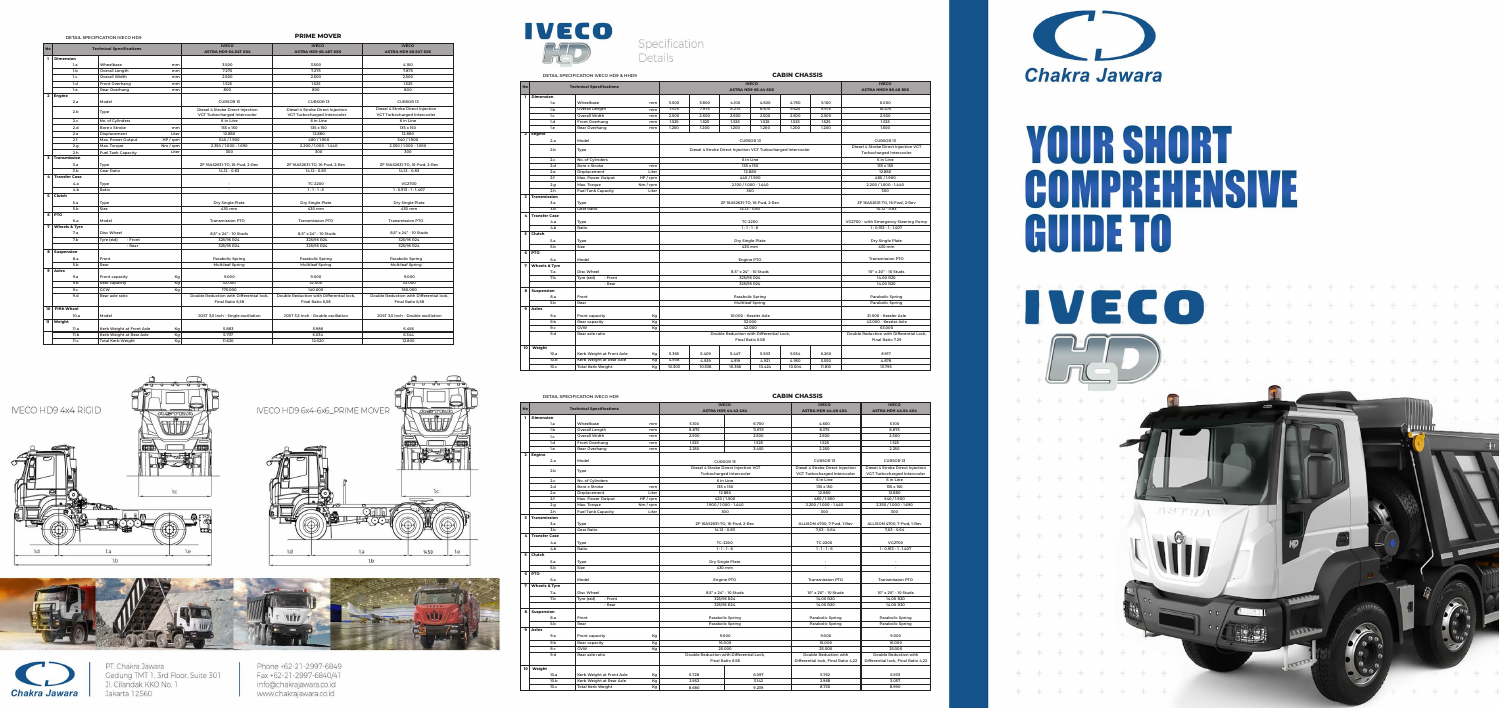## **CABIN CHASSIS**



## YOUR SHORT COMPRETENSIVE **GUIDE TO**



|                         | <b>IVECO</b><br><b>IVECO</b><br><b>IVECO</b> |                                    |                                                    |                                      |                                             |                                     |  |
|-------------------------|----------------------------------------------|------------------------------------|----------------------------------------------------|--------------------------------------|---------------------------------------------|-------------------------------------|--|
| No                      | <b>Technical Specifications</b>              |                                    | <b>ASTRA HD9 44.42 4X4</b>                         |                                      | <b>ASTRA HD9 44.48 4X4</b>                  | <b>ASTRA HD9 44.54 4X4</b>          |  |
| L.                      | <b>Dimension</b>                             |                                    |                                                    |                                      |                                             |                                     |  |
|                         | 1.a                                          | Wheelbase<br>mm                    | 5.100                                              | 6.700                                | 4.600                                       | 5.100                               |  |
|                         | 1.b                                          | <b>Overall Length</b><br>mm        | 8.875                                              | 11.675                               | 8.375                                       | 8.875                               |  |
|                         | 1.c                                          | <b>Overall Width</b><br>mm         | 2.500                                              | 2.500                                | 2.500                                       | 2.500                               |  |
|                         | 1.d                                          | <b>Front Overhang</b><br>mm        | 1.525                                              | 1.525                                | 1.525                                       | 1.525                               |  |
|                         | 1.e                                          | Rear Overhang<br>mm                | 2.250                                              | 3.450                                | 2.250                                       | 2.250                               |  |
| $\overline{\mathbf{2}}$ | <b>Engine</b>                                |                                    |                                                    |                                      |                                             |                                     |  |
|                         | 2.a                                          | Model                              | <b>CURSOR 13</b>                                   |                                      | <b>CURSOR 13</b>                            | <b>CURSOR 13</b>                    |  |
|                         | 2.b                                          |                                    |                                                    | Diesel 4 Stroke Direct Injection VGT | Diesel 4 Stroke Direct Injection            | Diesel 4 Stroke Direct Injection    |  |
|                         |                                              | Type                               | <b>Turbocharged Intercooler</b>                    |                                      | VGT Turbocharged Intercooler                | VGT Turbocharged Intercooler        |  |
|                         | 2.c                                          | No. of Cylinders                   | 6 in Line                                          |                                      | 6 in Line                                   | 6 in Line                           |  |
|                         | 2.d                                          | <b>Bore x Stroke</b><br>mm         |                                                    | 135 x 150                            | 135 x 150                                   | 135 x 150                           |  |
|                         | 2.e                                          | Liter<br>Displacement              |                                                    | 12,880                               | 12,880                                      | 12,880                              |  |
|                         | 2.f                                          | HP / rpm<br>Max. Power Output      |                                                    | 420 / 1.900                          | 480/1.900                                   | 540/1.900                           |  |
|                         | 2.g                                          | Max. Torque<br>Nm / rpm            |                                                    | 1.900 / 1.000 - 1.440                | 2.200 / 1.000 - 1.440                       | 2.350 / 1.000 - 1.690               |  |
|                         | 2.h                                          | Liter<br><b>Fuel Tank Capacity</b> |                                                    | 300                                  |                                             | 300                                 |  |
| $\overline{\mathbf{3}}$ | <b>Transmission</b>                          |                                    |                                                    |                                      |                                             |                                     |  |
|                         | 3.a                                          | Type                               |                                                    | ZF 16AS2631-TO, 16-Fwd, 2-Rev        | ALLISON 4700, 7-Fwd, 1-Rev<br>$7,63 - 0,64$ | ALLISON 4700, 7-Fwd, 1-Rev          |  |
|                         | 3.b                                          | <b>Gear Ratio</b>                  |                                                    | $14.12 - 0.83$                       |                                             | $7,63 - 0,64$                       |  |
| 4                       | <b>Transfer Case</b>                         |                                    |                                                    |                                      |                                             |                                     |  |
|                         | 4.a                                          | Type                               | TC-2200                                            |                                      | <b>TC-2200</b>                              | VG2700                              |  |
|                         | 4.b                                          | Ratio                              | $1:1 - 1:6$                                        |                                      | $1:1 - 1:6$                                 | $1: 0.913 - 1: 1.407$               |  |
| 5                       | Clutch                                       |                                    |                                                    |                                      |                                             |                                     |  |
|                         | 5.a                                          | Type                               | <b>Dry Single Plate</b>                            |                                      | $\overline{\phantom{a}}$                    |                                     |  |
|                         | 5.b                                          | Size                               | 430 mm                                             |                                      | ä,                                          |                                     |  |
| 6                       | <b>PTO</b>                                   |                                    |                                                    |                                      |                                             |                                     |  |
|                         | 6.a                                          | Model                              | <b>Engine PTO</b>                                  |                                      | <b>Transmission PTO</b>                     | <b>Transmission PTO</b>             |  |
| $\overline{7}$          | <b>Wheels &amp; Tyre</b>                     |                                    |                                                    |                                      |                                             |                                     |  |
|                         | 7.a                                          | Disc Wheel                         | 8,5" x 24" - 10 Studs                              |                                      | 10" x 20" - 10 Studs                        | 10" x 20" - 10 Studs                |  |
|                         | 7.b                                          | - Front<br>Tyre (std)              | 325/95 R24                                         |                                      | 14.00 R20<br>14.00 R20                      | 14.00 R20<br>14.00 R20              |  |
|                         |                                              | - Rear                             | 325/95 R24                                         |                                      |                                             |                                     |  |
| 8                       | <b>Suspension</b><br>8.a                     | Front                              |                                                    |                                      | <b>Parabolic Spring</b>                     | <b>Parabolic Spring</b>             |  |
|                         | 5.b                                          | Rear                               | <b>Parabolic Spring</b><br><b>Parabolic Spring</b> |                                      | <b>Parabolic Spring</b>                     | <b>Parabolic Spring</b>             |  |
| 9                       | <b>Axles</b>                                 |                                    |                                                    |                                      |                                             |                                     |  |
|                         | 9.a                                          | Front capacity<br>Kg               | 9.000                                              |                                      | 9,000                                       | 9.000                               |  |
|                         | 9.b                                          | Rear capacity<br>Kg                | 16.000                                             |                                      | 16,000                                      | 16,000                              |  |
|                         | 9 <sub>c</sub>                               | GVW<br>Kg                          | 25.000                                             |                                      | 25,000                                      | 25.000                              |  |
|                         | 9d                                           | Rear axle ratio                    | Double Reduction with Differential Lock,           |                                      | Double Reduction with                       | Double Reduction with               |  |
|                         |                                              |                                    | Final Ratio 6.58                                   |                                      | Differential lock, Final Ratio 4,22         | Differential lock, Final Ratio 4,22 |  |
| 10                      | Weight                                       |                                    |                                                    |                                      |                                             |                                     |  |
|                         |                                              |                                    | 5.728                                              |                                      | 5.762                                       | 5.933                               |  |
|                         | 10.a<br>10.b                                 | Kerb Weight at Front Axle<br>Kg    |                                                    | 6.097                                |                                             |                                     |  |
|                         | 10.c                                         | Kerb Weight at Rear Axle<br>Kg     | 2.952<br>8,680                                     | 3.142<br>9.239                       | 2.968<br>8.730                              | 3.057<br>8.990                      |  |
|                         |                                              | <b>Total Kerb Weight</b><br>Kg     |                                                    |                                      |                                             |                                     |  |

## **DETAIL SPECIFICATION IVECO HD9**

|                |                                 | DETAIL SPECIFICATION IVECO HD9 & HHD9      | <b>CABIN CHASSIS</b> |                                          |                                                               |                                             |                  |                                          |                                       |                         |
|----------------|---------------------------------|--------------------------------------------|----------------------|------------------------------------------|---------------------------------------------------------------|---------------------------------------------|------------------|------------------------------------------|---------------------------------------|-------------------------|
| <b>No</b>      | <b>Technical Specifications</b> | <b>IVECO</b><br><b>ASTRA HD9 66.44 6X6</b> |                      |                                          |                                                               | <b>IVECO</b><br><b>ASTRA HHD9 86.48 8X6</b> |                  |                                          |                                       |                         |
| ı.             | <b>Dimension</b>                |                                            |                      |                                          |                                                               |                                             |                  |                                          |                                       |                         |
|                | 1.a                             | Wheelbase                                  | mm                   | 3.500                                    | 3,800                                                         | 4.100                                       | 4.500            | 4.750                                    | 5,100                                 | 6,000                   |
|                | 1.b                             | <b>Overall Length</b>                      | mm                   | 7.675                                    | 7.975                                                         | 8.275                                       | 8.675            | 9.625                                    | 9.975                                 | 10.475                  |
|                | 1.c                             | <b>Overall Width</b>                       | mm                   | 2.500                                    | 2.500                                                         | 2.500                                       | 2.500            | 2.500                                    | 2.500                                 | 2.500                   |
|                | 1.d                             | <b>Front Overhang</b>                      | mm                   | 1.525                                    | 1.525                                                         | 1.525                                       | 1.525            | 1.525                                    | 1.525                                 | 1.525                   |
|                | 1.e.                            | Rear Overhang                              | mm                   | 1.200                                    | 1.200                                                         | 1.200                                       | 1.200            | 1.200                                    | 1.200                                 | 1.500                   |
| $\overline{2}$ | Engine                          |                                            |                      |                                          |                                                               |                                             |                  |                                          |                                       |                         |
|                | 2.a                             | Model                                      |                      | <b>CURSOR 13</b>                         |                                                               |                                             |                  |                                          | <b>CURSOR 13</b>                      |                         |
|                | 2.b                             | Type                                       |                      |                                          | Diesel 4 Stroke Direct Injection VGT Turbocharged Intercooler |                                             |                  |                                          | Diesel 4 Stroke Direct Injection VGT  |                         |
|                |                                 |                                            |                      |                                          |                                                               |                                             |                  | <b>Turbocharged Intercooler</b>          |                                       |                         |
|                | 2.c                             | No. of Cylinders                           |                      |                                          | 6 in Line                                                     |                                             |                  |                                          | 6 in Line                             |                         |
|                | 2.d                             | <b>Bore x Stroke</b>                       | mm                   |                                          |                                                               | 135 x 150                                   |                  |                                          |                                       | 135 x 150               |
|                | 2.e                             | Displacement                               | Liter                |                                          |                                                               | 12.880                                      |                  |                                          |                                       | 12.880                  |
|                | 2.f                             | Max. Power Output                          | $HP$ /rpm            |                                          | 440/1.900                                                     |                                             |                  |                                          | 480 / 1.900                           |                         |
|                | 2.g                             | Max. Torque                                | Nm / rpm             |                                          |                                                               | 2.100 / 1.000 - 1.440                       |                  |                                          |                                       | 2.200 / 1.000 - 1.440   |
|                | 2.h                             | <b>Fuel Tank Capacity</b>                  | Liter                |                                          |                                                               | 300                                         |                  |                                          |                                       | 300                     |
| 3              | <b>Transmission</b>             |                                            |                      |                                          |                                                               |                                             |                  |                                          |                                       |                         |
|                | 3.a                             | Type                                       |                      |                                          | ZF 16AS2631-TO, 16-Fwd, 2-Rev                                 |                                             |                  |                                          | ZF 16AS2631-TO, 16-Fwd, 2-Rev         |                         |
|                | 3.b                             | <b>Gear Ratio</b>                          |                      | 14.12 - 0.83                             |                                                               |                                             |                  | $14.12 - 0.83$                           |                                       |                         |
| 4              | <b>Transfer Case</b>            |                                            |                      |                                          |                                                               |                                             |                  |                                          |                                       |                         |
|                | 4.a                             | Type                                       |                      | <b>TC-2200</b>                           |                                                               |                                             |                  |                                          | VG2700 - with Emergency Steering Pump |                         |
|                | 4.b                             | Ratio                                      |                      | $1:1 - 1:6$                              |                                                               |                                             |                  | $1: 0.913 - 1: 1.407$                    |                                       |                         |
| 5              | Clutch                          |                                            |                      |                                          |                                                               |                                             |                  |                                          |                                       |                         |
|                | 5.a                             | Type                                       |                      | Dry Single Plate                         |                                                               |                                             |                  | Dry Single Plate                         |                                       |                         |
|                | 5.b                             | Size                                       |                      | 430 mm                                   |                                                               |                                             |                  | 430 mm                                   |                                       |                         |
| 6              | PTO                             |                                            |                      |                                          |                                                               |                                             |                  |                                          |                                       |                         |
|                | 6.a                             | Model                                      |                      | <b>Engine PTO</b>                        |                                                               |                                             |                  | <b>Transmission PTO</b>                  |                                       |                         |
| 7              | <b>Wheels &amp; Tyre</b>        |                                            |                      |                                          |                                                               |                                             |                  |                                          |                                       |                         |
|                | 7.a                             | Disc Wheel                                 |                      | 8,5" x 24" - 10 Studs                    |                                                               |                                             |                  | 10" x 20" - 10 Studs                     |                                       |                         |
|                | 7.b                             | Tyre (std)<br>- Front                      |                      |                                          | 325/95 R24                                                    |                                             |                  | 14.00 R20                                |                                       |                         |
|                |                                 | - Rear                                     |                      | 325/95 R24                               |                                                               |                                             |                  | 14.00 R20                                |                                       |                         |
| 8              | <b>Suspension</b>               |                                            |                      |                                          |                                                               |                                             |                  |                                          |                                       |                         |
|                | 8.a                             | Front                                      |                      | <b>Parabolic Spring</b>                  |                                                               |                                             |                  | <b>Parabolic Spring</b>                  |                                       |                         |
|                | 5.b                             | Rear                                       |                      |                                          | <b>Multileaf Spring</b>                                       |                                             |                  |                                          |                                       | <b>Parabolic Spring</b> |
| $\overline{9}$ | Axles                           |                                            |                      |                                          |                                                               |                                             |                  |                                          |                                       |                         |
|                | 9.a                             | Front capacity                             | Kg                   | 10.000 - Kessler Axle                    |                                                               |                                             |                  |                                          |                                       | 21.000 - Kessler Axle   |
|                | 9.b                             | Rear capacity                              | Kg                   | 32.000                                   |                                                               |                                             |                  |                                          | 42.000 - Kessler Axle                 |                         |
|                | 9.c                             | GVW                                        | Kg                   | 42.000                                   |                                                               |                                             |                  | 63.000                                   |                                       |                         |
|                | 9.d                             | Rear axle ratio                            |                      | Double Reduction with Differential Lock, |                                                               |                                             |                  | Double Reduction with Differential Lock, |                                       |                         |
|                |                                 |                                            |                      | Final Ratio 6.58                         |                                                               |                                             | Final Ratio 7.29 |                                          |                                       |                         |
| 10             | Weight                          |                                            |                      |                                          |                                                               |                                             |                  |                                          |                                       |                         |
|                | 10.a                            | Kerb Weight at Front Axle                  | Kg                   | 5.365                                    | 5.409                                                         | 5.447                                       | 5.503            | 5.554                                    | 6.260                                 | 8.917                   |
|                | 10.b                            | Kerb Weight at Rear Axle                   | Kg                   | 4.938                                    | 4.929                                                         | 4.919                                       | 4.921            | 4.950                                    | 5.550                                 | 4.878                   |
|                | 10.c                            | <b>Total Kerb Weight</b>                   | Kg                   | 10.303                                   | 10.338                                                        | 10.366                                      | 10.424           | 10.504                                   | 11.810                                | 13.795                  |

|              |                                        | DETAIL SPECIFICATION IVECO HD9     | <b>PRIME MOVER</b>                                               |                                                                  |                                                                  |  |  |  |
|--------------|----------------------------------------|------------------------------------|------------------------------------------------------------------|------------------------------------------------------------------|------------------------------------------------------------------|--|--|--|
| <b>No</b>    | <b>Technical Specifications</b>        |                                    | <b>IVECO</b><br><b>ASTRA HD9 64.54T 6X4</b>                      | <b>IVECO</b><br><b>ASTRA HD9 66.48T 6X6</b>                      | <b>IVECO</b><br><b>ASTRA HD9 66.54T 6X6</b>                      |  |  |  |
| ı.           | <b>Dimension</b>                       |                                    |                                                                  |                                                                  |                                                                  |  |  |  |
|              | 1.a                                    | Wheelbase<br>mm                    | 3.500                                                            | 3.500                                                            | 4.100                                                            |  |  |  |
|              | 1.b                                    | Overall Length<br>mm               | 7.275                                                            | 7.275                                                            | 7.875                                                            |  |  |  |
|              | 1.c                                    | Overall Width<br>mm                | 2.500                                                            | 2.500                                                            | 2.500                                                            |  |  |  |
|              | 1.d                                    | <b>Front Overhang</b><br>mm        | 1.525                                                            | 1.525                                                            | 1.525                                                            |  |  |  |
|              | 1.e                                    | Rear Overhang<br>mm                | 800                                                              | 800                                                              | 800                                                              |  |  |  |
|              | 2 Engine<br>2.a                        | Model                              | <b>CURSOR 13</b>                                                 | <b>CURSOR 13</b>                                                 | <b>CURSOR 13</b>                                                 |  |  |  |
|              | 2.b                                    | Type                               | Diesel 4 Stroke Direct Injection<br>VGT Turbocharged Intercooler | Diesel 4 Stroke Direct Injection<br>VGT Turbocharged Intercooler | Diesel 4 Stroke Direct Injection<br>VGT Turbocharged Intercooler |  |  |  |
|              | 2.c                                    | No. of Cylinders                   | 6 in Line<br>6 in Line                                           |                                                                  | 6 in Line                                                        |  |  |  |
|              | 2.d                                    | <b>Bore x Stroke</b><br>mm         | 135 x 150<br>135 x 150                                           |                                                                  | 135 x 150                                                        |  |  |  |
|              | 2.e                                    | Displacement<br>Liter              | 12,880                                                           | 12,880                                                           | 12,880                                                           |  |  |  |
|              | 2.f                                    | Max. Power Output<br>HP/rpm        | 540 / 1.900                                                      | 480/1.900                                                        | 540/1.900                                                        |  |  |  |
|              | 2.g                                    | Max. Torque<br>$Nm$ / rpm          | 2.350 / 1.000 - 1.690                                            | 2.200 / 1.000 - 1.440                                            | 2.350 / 1.000 - 1.690                                            |  |  |  |
|              | 2.h                                    | <b>Fuel Tank Capacity</b><br>Liter | 300                                                              | 300                                                              | 300                                                              |  |  |  |
| 3            | <b>Transmission</b>                    |                                    |                                                                  |                                                                  |                                                                  |  |  |  |
|              | 3.a                                    | Type                               | ZF 16AS2631-TO, 16-Fwd, 2-Rev                                    | ZF 16AS2631-TO, 16-Fwd, 2-Rev                                    | ZF 16AS2631-TO, 16-Fwd, 2-Rev                                    |  |  |  |
|              | 3.b                                    | <b>Gear Ratio</b>                  | $14.12 - 0.83$                                                   | $14.12 - 0.83$                                                   | $14.12 - 0.83$                                                   |  |  |  |
|              | <b>Transfer Case</b>                   |                                    |                                                                  |                                                                  |                                                                  |  |  |  |
|              | 4.a                                    | Type                               |                                                                  | <b>TC-2200</b>                                                   | VG2700                                                           |  |  |  |
|              | 4.b                                    | Ratio                              | ÷,                                                               | $1:1 - 1:6$                                                      | $1: 0.913 - 1: 1.407$                                            |  |  |  |
| 5            | Clutch                                 |                                    |                                                                  |                                                                  |                                                                  |  |  |  |
|              | 5.a                                    | Type                               | Dry Single Plate                                                 | <b>Dry Single Plate</b>                                          | <b>Dry Single Plate</b>                                          |  |  |  |
|              | 5.b<br>Size                            |                                    | 430 mm                                                           | 430 mm                                                           | 430 mm                                                           |  |  |  |
| $6 \mid$     | <b>PTO</b>                             |                                    |                                                                  |                                                                  |                                                                  |  |  |  |
|              | 6.a                                    | Model                              | <b>Transmission PTO</b>                                          | <b>Transmission PTO</b>                                          | <b>Transmission PTO</b>                                          |  |  |  |
| 7            | <b>Wheels &amp; Tyre</b>               |                                    |                                                                  |                                                                  |                                                                  |  |  |  |
|              | 7.a                                    | Disc Wheel                         | 8,5" x 24" - 10 Studs                                            | 8,5" x 24" - 10 Studs                                            | 8,5" x 24" - 10 Studs                                            |  |  |  |
|              | 7.b<br>Tyre (std)<br>- Front<br>- Rear |                                    | 325/95 R24                                                       | 325/95 R24                                                       | 325/95 R24                                                       |  |  |  |
|              |                                        |                                    | 325/95 R24                                                       | 325/95 R24                                                       | 325/95 R24                                                       |  |  |  |
| 8            | <b>Suspension</b>                      |                                    |                                                                  |                                                                  |                                                                  |  |  |  |
|              | 8.a<br>Front                           |                                    | <b>Parabolic Spring</b>                                          | <b>Parabolic Spring</b>                                          | <b>Parabolic Spring</b>                                          |  |  |  |
|              | Rear<br>5.b                            |                                    | <b>Multileaf Spring</b><br><b>Multileaf Spring</b>               |                                                                  | <b>Multileaf Spring</b>                                          |  |  |  |
| 9            | Axles                                  |                                    |                                                                  |                                                                  |                                                                  |  |  |  |
|              | 9.a                                    | Front capacity<br>Kg               | 9.000                                                            | 9.000                                                            | 9.000                                                            |  |  |  |
|              | 9.b                                    | Rear capacity<br>Kg                | 32.000                                                           | 32.000                                                           | 32.000                                                           |  |  |  |
|              | 9 <sub>c</sub>                         | GCW<br>Kg                          | 170,000                                                          | 140,000                                                          | 180,000                                                          |  |  |  |
|              | 9.d                                    | Rear axle ratio                    | Double Reduction with Differential lock,                         | Double Reduction with Differential lock,                         | Double Reduction with Differential lock,                         |  |  |  |
|              |                                        |                                    | Final Ratio 6,58<br>Final Ratio 6,58                             |                                                                  | Final Ratio 6,58                                                 |  |  |  |
| 10           | <b>Fifth Wheel</b>                     |                                    |                                                                  |                                                                  |                                                                  |  |  |  |
|              | 10.a                                   | Model                              | JOST 3,5 Inch - Single oscillation                               | JOST 3,5 Inch - Double oscillation                               | JOST 3,5 Inch - Double oscillation                               |  |  |  |
| $\mathbf{u}$ | Weight                                 |                                    |                                                                  |                                                                  |                                                                  |  |  |  |
|              | 11.a                                   | Kerb Weight at Front Axle<br>Kg    | 5.883                                                            | 5.986                                                            | 6.456                                                            |  |  |  |
|              | 11.b                                   | Kerb Weight at Rear Axle<br>Kg     | 5.737                                                            | 6.034                                                            | 6.344                                                            |  |  |  |
|              | 11.c                                   | Kg<br><b>Total Kerb Weight</b>     | 11.620                                                           | 12.020                                                           | 12,800                                                           |  |  |  |
|              |                                        |                                    |                                                                  |                                                                  |                                                                  |  |  |  |







PT. Chakra Jawara Gedung TMT 1, 3rd Floor, Suite 301 Jl. Cilandak KKO No. 1 Jakarta 12560

Phone +62-21-2997-6849 Fax +62-21-2997-6840/41 info@chakrajawara.co.id www.chakrajawara.co.id

 $1<sub>h</sub>$ 



Specification Details